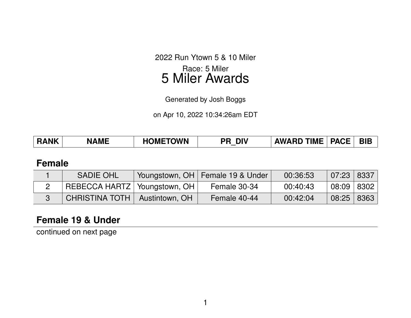2022 Run Ytown 5 & 10 Miler Race: 5 Miler 5 Miler Awards

Generated by Josh Boggs

on Apr 10, 2022 10:34:26am EDT

| <b>RANK</b> | <b>NAME</b> | <b>HOMETOWN</b> | <b>DIV</b><br>סכ | <b>AWARD TIME</b> | <b>PACE</b> | <b>BIE</b> |
|-------------|-------------|-----------------|------------------|-------------------|-------------|------------|
|-------------|-------------|-----------------|------------------|-------------------|-------------|------------|

#### **Female**

| <b>SADIE OHL</b>               |                | Youngstown, OH   Female 19 & Under | 00:36:53 | $07:23$ 8337   |  |
|--------------------------------|----------------|------------------------------------|----------|----------------|--|
| REBECCA HARTZ   Youngstown, OH |                | Female 30-34                       | 00:40:43 | $08:09$   8302 |  |
| <b>CHRISTINA TOTH</b>          | Austintown, OH | Female 40-44                       | 00:42:04 | 08:25   8363   |  |

# **Female 19 & Under**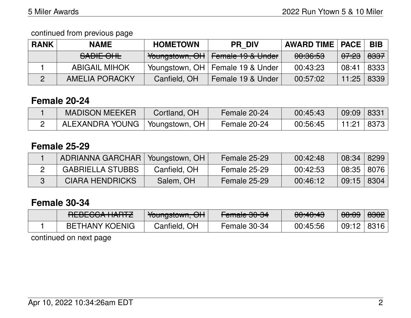continued from previous page

| <b>RANK</b> | <b>NAME</b>           | <b>HOMETOWN</b> | <b>PR DIV</b>                      | <b>AWARD TIME   PACE</b> |                  | <b>BIB</b>      |
|-------------|-----------------------|-----------------|------------------------------------|--------------------------|------------------|-----------------|
|             | SADIE OHL             |                 | Youngstown, OH   Female 19 & Under | 00:36:53                 | <del>07:23</del> | <del>8337</del> |
|             | <b>ABIGAIL MIHOK</b>  |                 | Youngstown, OH   Female 19 & Under | 00:43:23                 | 08:41            | 8333            |
|             | <b>AMELIA PORACKY</b> | Canfield, OH    | Female 19 & Under                  | 00:57:02                 | 11:25            | 8339            |

## **Female 20-24**

| <b>MADISON MEEKER</b> | Cortland, OH                   | Female 20-24 | 00:45:43 | 09:09 8331 |      |
|-----------------------|--------------------------------|--------------|----------|------------|------|
| ALEXANDRA YOUNG       | $\perp$ Youngstown, OH $\perp$ | Female 20-24 | 00:56:45 | 11:21      | 8373 |

# **Female 25-29**

| ADRIANNA GARCHAR   Youngstown, OH |              | Female 25-29 | 00:42:48 | 08:34          | 8299 |
|-----------------------------------|--------------|--------------|----------|----------------|------|
| <b>GABRIELLA STUBBS</b>           | Canfield, OH | Female 25-29 | 00:42:53 | $08:35$   8076 |      |
| <b>CIARA HENDRICKS</b>            | Salem, OH    | Female 25-29 | 00:46:12 | $09:15$ 8304   |      |

## **Female 30-34**

| DTDPTQQA IIA <sub>DT7</sub><br>NLDLVVATIANTZ | $\mathcal{N}_{\mathbf{a}}$<br>TUUTIYSIUWIT, UTT | $T$ amala 00.01<br><del>i cilialc ou-a+</del> | 0.10.10<br><del>00.40.40</del> | $\Omega$<br>00.00 | <del>8302</del> |
|----------------------------------------------|-------------------------------------------------|-----------------------------------------------|--------------------------------|-------------------|-----------------|
| <b>BETHANY KOENIG</b>                        | Canfield, OH                                    | Female 30-34                                  | 00:45:56                       | 09:12             | 8316            |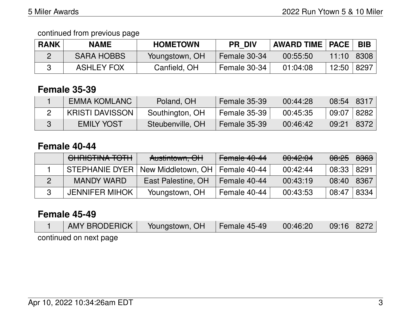continued from previous page

| <b>RANK</b> | <b>NAME</b>       | <b>HOMETOWN</b> | <b>PR DIV</b> | <b>AWARD TIME   PACE  </b> |       | <b>BIB</b> |
|-------------|-------------------|-----------------|---------------|----------------------------|-------|------------|
|             | <b>SARA HOBBS</b> | Youngstown, OH  | Female 30-34  | 00:55:50                   | 11:10 | 8308       |
|             | <b>ASHLEY FOX</b> | Canfield, OH    | Female 30-34  | 01:04:08                   | 12:50 | 8297       |

#### **Female 35-39**

| EMMA KOMLANC           | Poland, OH       | <b>Female 35-39</b> | 00:44:28 | $08:54$ 8317      |      |
|------------------------|------------------|---------------------|----------|-------------------|------|
| <b>KRISTI DAVISSON</b> | Southington, OH  | Female 35-39        | 00:45:35 | $09:07 \mid 8282$ |      |
| <b>EMILY YOST</b>      | Steubenville, OH | <b>Female 35-39</b> | 00:46:42 | 09:21             | 8372 |

#### **Female 40-44**

| CHRISTINA TOTH        | Austintown, OH                                     | Female 40-44 | 00:42:04 | <del>08:25</del> | <del>8363</del> |
|-----------------------|----------------------------------------------------|--------------|----------|------------------|-----------------|
|                       | STEPHANIE DYER   New Middletown, OH   Female 40-44 |              | 00:42:44 | 08:33            | 8291            |
| <b>MANDY WARD</b>     | East Palestine, OH                                 | Female 40-44 | 00:43:19 | 08:40            | 8367            |
| <b>JENNIFER MIHOK</b> | Youngstown, OH                                     | Female 40-44 | 00:43:53 | 08:47            | 8334            |

#### **Female 45-49**

| AMY BRODERICK          | Youngstown, OH | <b>Female 45-49</b> | 00:46:20 | 09:16 8272 |  |
|------------------------|----------------|---------------------|----------|------------|--|
| continued on next page |                |                     |          |            |  |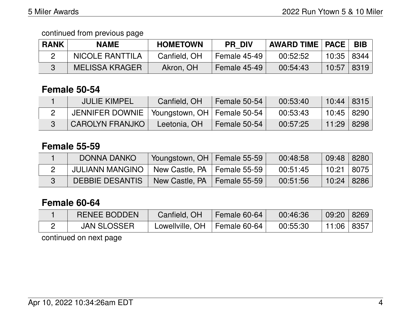| <b>RANK</b> | <b>NAME</b>            | <b>HOMETOWN</b> | <b>PR DIV</b> | <b>AWARD TIME   PACE</b> |              | <b>BIB</b> |
|-------------|------------------------|-----------------|---------------|--------------------------|--------------|------------|
|             | <b>NICOLE RANTTILA</b> | Canfield, OH    | Female 45-49  | 00:52:52                 | 10:35   8344 |            |
|             | <b>MELISSA KRAGER</b>  | Akron, OH       | Female 45-49  | 00:54:43                 | 10:57   8319 |            |

### **Female 50-54**

| <b>JULIE KIMPEL</b>                             | Canfield, OH | Female 50-54 | 00:53:40 | $10:44$   8315 |  |
|-------------------------------------------------|--------------|--------------|----------|----------------|--|
| JENNIFER DOWNIE   Youngstown, OH   Female 50-54 |              |              | 00:53:43 | 10:45   8290   |  |
| <b>CAROLYN FRANJKO</b>                          | Leetonia, OH | Female 50-54 | 00:57:25 | 11:29 ∣ 8298 ∣ |  |

### **Female 55-59**

| <b>DONNA DANKO</b>     | Youngstown, OH   Female 55-59   |              | 00:48:58 | $09:48$ 8280      |  |
|------------------------|---------------------------------|--------------|----------|-------------------|--|
| <b>JULIANN MANGINO</b> | New Castle, $PA$   Female 55-59 |              | 00:51:45 | │ 10:21 │ 8075 │  |  |
| DEBBIE DESANTIS        | New Castle, PA                  | Female 55-59 | 00:51:56 | $10:24 \mid 8286$ |  |

#### **Female 60-64**

| <b>RENEE BODDEN</b> | Canfield, OH                   | Female 60-64 | 00:46:36 | 09:20   8269     |  |
|---------------------|--------------------------------|--------------|----------|------------------|--|
| <b>JAN SLOSSER</b>  | Lowellville, OH   Female 60-64 |              | 00:55:30 | │ 11:06 │ 8357 │ |  |
|                     |                                |              |          |                  |  |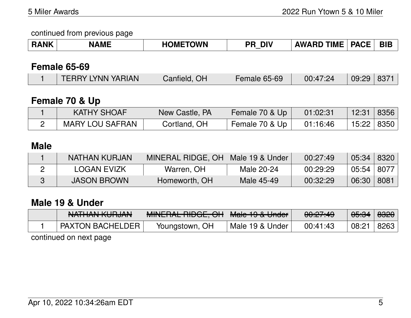| <b>NK</b> | <b>AMF</b> | <b>TOWN</b><br>ЭM | DI'<br>DГ | <b>TIME</b><br>ΔW. | <b>PACF</b><br>. | <b>BIB</b> |
|-----------|------------|-------------------|-----------|--------------------|------------------|------------|
|-----------|------------|-------------------|-----------|--------------------|------------------|------------|

### **Female 65-69**

| TERRY LYNN YARIAN | Canfield, OH | <b>Female 65-69</b> | 00:47:24 | $109:29$ 8371 |  |
|-------------------|--------------|---------------------|----------|---------------|--|
|                   |              |                     |          |               |  |

# **Female 70 & Up**

| <b>KATHY SHOAF</b>     | New Castle, PA | Female 70 & Up | 01:02:31 | 12:31        | 8356 |
|------------------------|----------------|----------------|----------|--------------|------|
| <b>MARY LOU SAFRAN</b> | Cortland, OH   | Female 70 & Up | 01:16:46 | 15:22   8350 |      |

### **Male**

| NATHAN KURJAN      | MINERAL RIDGE, OH | Male 19 & Under | 00:27:49 | 05:34 | 8320 |
|--------------------|-------------------|-----------------|----------|-------|------|
| LOGAN EVIZK        | Warren, OH        | Male 20-24      | 00:29:29 | 05:54 | 8077 |
| <b>JASON BROWN</b> | Homeworth, OH     | Male 45-49      | 00:32:29 | 06:30 | 8081 |

### **Male 19 & Under**

| NIATHANI IZHID IANI<br><u>MAILIAN RUIDAN</u> | MINIEDAL DIDAE ALL<br><u>MUNCHAL HIDUL, UN  </u> | $Mod 40.9$<br><b>Maic TV &amp; UNUCL</b> | 0.07.10<br><del>uu.ch.4</del> 5 | <del>05:34</del> | 8320 |
|----------------------------------------------|--------------------------------------------------|------------------------------------------|---------------------------------|------------------|------|
| <b>PAXTON BACHELDER</b>                      | Youngstown, OH                                   | Male 19 & Under                          | 00:41:43                        | 08:21            | 8263 |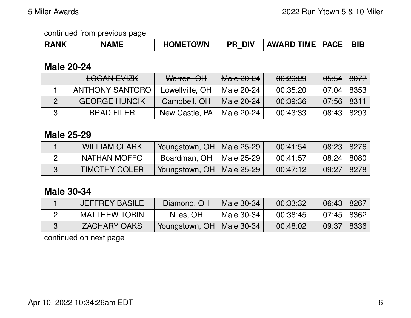| <b>RANK</b> | <b>NAME</b> | <b>IOMETOWN</b> | <b>DIV</b><br>DD | <b>TIME</b><br><b>AWARD</b> | <b>PACE</b> | <b>BIE</b> |
|-------------|-------------|-----------------|------------------|-----------------------------|-------------|------------|
|-------------|-------------|-----------------|------------------|-----------------------------|-------------|------------|

## **Male 20-24**

| <b>LOGAN EVIZK</b>     | Warren, OH      | Male 20-24 | 00:29:29 | <del>05:54</del> | <del>8077</del> |
|------------------------|-----------------|------------|----------|------------------|-----------------|
| <b>ANTHONY SANTORO</b> | Lowellville, OH | Male 20-24 | 00:35:20 | $-07:04$         | 8353            |
| <b>GEORGE HUNCIK</b>   | Campbell, OH    | Male 20-24 | 00:39:36 | $07:56$ 8311     |                 |
| <b>BRAD FILER</b>      | New Castle, PA  | Male 20-24 | 00:43:33 | 08:43            | 8293            |

#### **Male 25-29**

| <b>WILLIAM CLARK</b> | Youngstown, OH   Male 25-29 |            | 00:41:54 | 08:23 8276     |      |
|----------------------|-----------------------------|------------|----------|----------------|------|
| NATHAN MOFFO         | Boardman, OH                | Male 25-29 | 00:41:57 | 08:24   8080   |      |
| <b>TIMOTHY COLER</b> | Youngstown, OH   Male 25-29 |            | 00:47:12 | $\sqrt{09.27}$ | 8278 |

# **Male 30-34**

| <b>JEFFREY BASILE</b> | Diamond, OH                 | Male 30-34 | 00:33:32 | 06:43 8267   |      |
|-----------------------|-----------------------------|------------|----------|--------------|------|
| <b>MATTHEW TOBIN</b>  | Niles, OH                   | Male 30-34 | 00:38:45 | $07:45$ 8362 |      |
| <b>ZACHARY OAKS</b>   | Youngstown, OH   Male 30-34 |            | 00:48:02 | 09:37        | 8336 |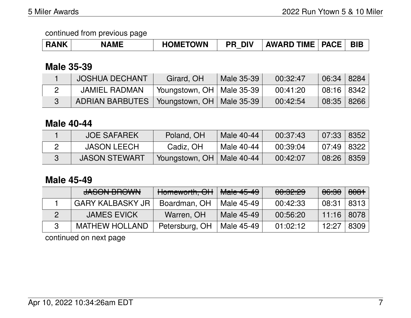| <b>RANK</b> | <b>NAME</b> | <b>HOMETOWN</b> | <b>DIV</b><br>PR. | AWARD TIME   PACE |  | <b>BIB</b> |
|-------------|-------------|-----------------|-------------------|-------------------|--|------------|
|-------------|-------------|-----------------|-------------------|-------------------|--|------------|

## **Male 35-39**

| <b>JOSHUA DECHANT</b>                         | Girard, OH                  | Male 35-39 | 00:32:47 | 06:34 8284   |  |
|-----------------------------------------------|-----------------------------|------------|----------|--------------|--|
| <b>JAMIEL RADMAN</b>                          | Youngstown, OH   Male 35-39 |            | 00:41:20 | 08:16   8342 |  |
| ADRIAN BARBUTES   Youngstown, OH   Male 35-39 |                             |            | 00:42:54 | 08:35 8266   |  |

#### **Male 40-44**

| <b>JOE SAFAREK</b>   | Poland, OH                  | Male 40-44 | 00:37:43 | 07:33   8352 |  |
|----------------------|-----------------------------|------------|----------|--------------|--|
| <b>JASON LEECH</b>   | Cadiz, OH                   | Male 40-44 | 00:39:04 | $07:49$ 8322 |  |
| <b>JASON STEWART</b> | Youngstown, OH   Male 40-44 |            | 00:42:07 | 08:26 8359   |  |

# **Male 45-49**

| <b>JASON BROWN</b>      | Homeworth, OH  | Male 45-49 | 00:32:29 | <del>06:30</del> | 8081 |
|-------------------------|----------------|------------|----------|------------------|------|
| <b>GARY KALBASKY JR</b> | Boardman, OH   | Male 45-49 | 00:42:33 | 08:31            | 8313 |
| <b>JAMES EVICK</b>      | Warren, OH     | Male 45-49 | 00:56:20 | $11:16$ 8078     |      |
| <b>MATHEW HOLLAND</b>   | Petersburg, OH | Male 45-49 | 01:02:12 | 12:27            | 8309 |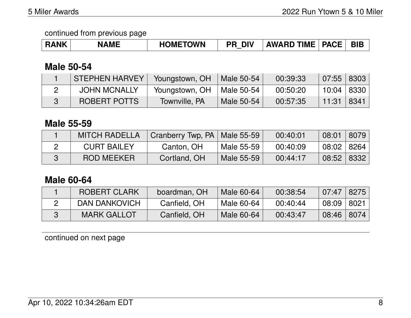| <b>RANK</b> | <b>IAME</b> | <b>HOMETOWN</b> | DIV<br>DC. | <b>AWARD TIME   PACE  </b> |  | <b>BIE</b> |
|-------------|-------------|-----------------|------------|----------------------------|--|------------|
|-------------|-------------|-----------------|------------|----------------------------|--|------------|

# **Male 50-54**

| <b>STEPHEN HARVEY</b> | Youngstown, OH | Male 50-54 | 00:39:33 | $07:55$   8303 |      |
|-----------------------|----------------|------------|----------|----------------|------|
| <b>JOHN MCNALLY</b>   | Youngstown, OH | Male 50-54 | 00:50:20 | 10:04   8330   |      |
| ROBERT POTTS          | Townville, PA  | Male 50-54 | 00:57:35 | 11:31∣         | 8341 |

## **Male 55-59**

| <b>MITCH RADELLA</b> | Cranberry Twp, PA   Male 55-59 |            | 00:40:01 | 08:01   8079      |  |
|----------------------|--------------------------------|------------|----------|-------------------|--|
| <b>CURT BAILEY</b>   | Canton, OH                     | Male 55-59 | 00:40:09 | $08:02 \mid 8264$ |  |
| <b>ROD MEEKER</b>    | Cortland, OH                   | Male 55-59 | 00:44:17 | 08:52   8332      |  |

# **Male 60-64**

| <b>ROBERT CLARK</b> | boardman, OH | Male 60-64 | 00:38:54 | 07:47      | 8275 |
|---------------------|--------------|------------|----------|------------|------|
| DAN DANKOVICH       | Canfield, OH | Male 60-64 | 00:40:44 | 08:09      | 8021 |
| <b>MARK GALLOT</b>  | Canfield, OH | Male 60-64 | 00:43:47 | 08:46 8074 |      |